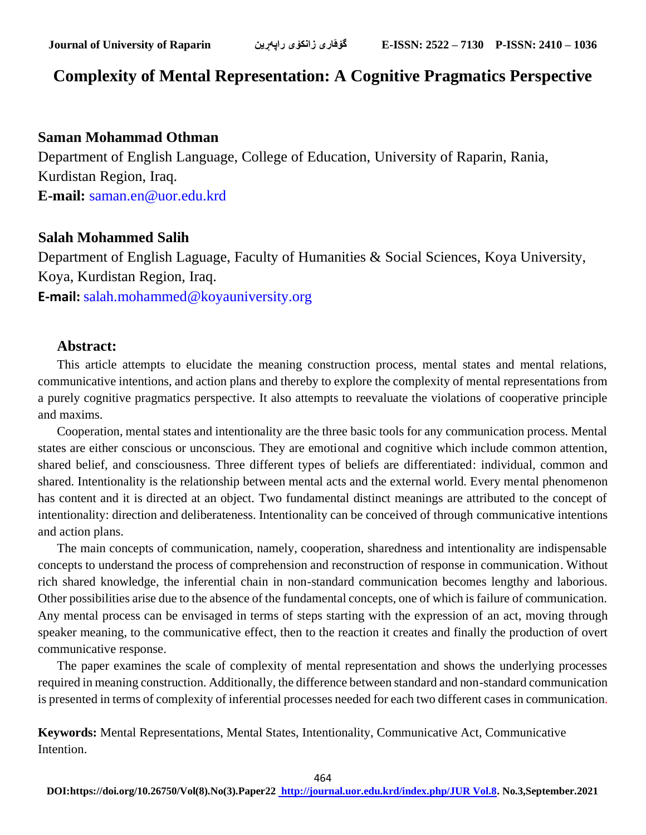## **Complexity of Mental Representation: A Cognitive Pragmatics Perspective**

#### **Saman Mohammad Othman**

Department of English Language, College of Education, University of Raparin, Rania, Kurdistan Region, Iraq. **E-mail:** [saman.en@uor.edu.krd](mailto:saman.en@uor.edu.krd)

### **Salah Mohammed Salih**

Department of English Laguage, Faculty of Humanities & Social Sciences, Koya University, Koya, Kurdistan Region, Iraq.

**E-mail:** [salah.mohammed@koyauniversity.org](mailto:salah.mohammed@koyauniversity.org)

#### **Abstract:**

This article attempts to elucidate the meaning construction process, mental states and mental relations, communicative intentions, and action plans and thereby to explore the complexity of mental representations from a purely cognitive pragmatics perspective. It also attempts to reevaluate the violations of cooperative principle and maxims.

Cooperation, mental states and intentionality are the three basic tools for any communication process. Mental states are either conscious or unconscious. They are emotional and cognitive which include common attention, shared belief, and consciousness. Three different types of beliefs are differentiated: individual, common and shared. Intentionality is the relationship between mental acts and the external world. Every mental phenomenon has content and it is directed at an object. Two fundamental distinct meanings are attributed to the concept of intentionality: direction and deliberateness. Intentionality can be conceived of through communicative intentions and action plans.

The main concepts of communication, namely, cooperation, sharedness and intentionality are indispensable concepts to understand the process of comprehension and reconstruction of response in communication. Without rich shared knowledge, the inferential chain in non-standard communication becomes lengthy and laborious. Other possibilities arise due to the absence of the fundamental concepts, one of which is failure of communication. Any mental process can be envisaged in terms of steps starting with the expression of an act, moving through speaker meaning, to the communicative effect, then to the reaction it creates and finally the production of overt communicative response.

The paper examines the scale of complexity of mental representation and shows the underlying processes required in meaning construction. Additionally, the difference between standard and non-standard communication is presented in terms of complexity of inferential processes needed for each two different cases in communication.

**Keywords:** Mental Representations, Mental States, Intentionality, Communicative Act, Communicative Intention.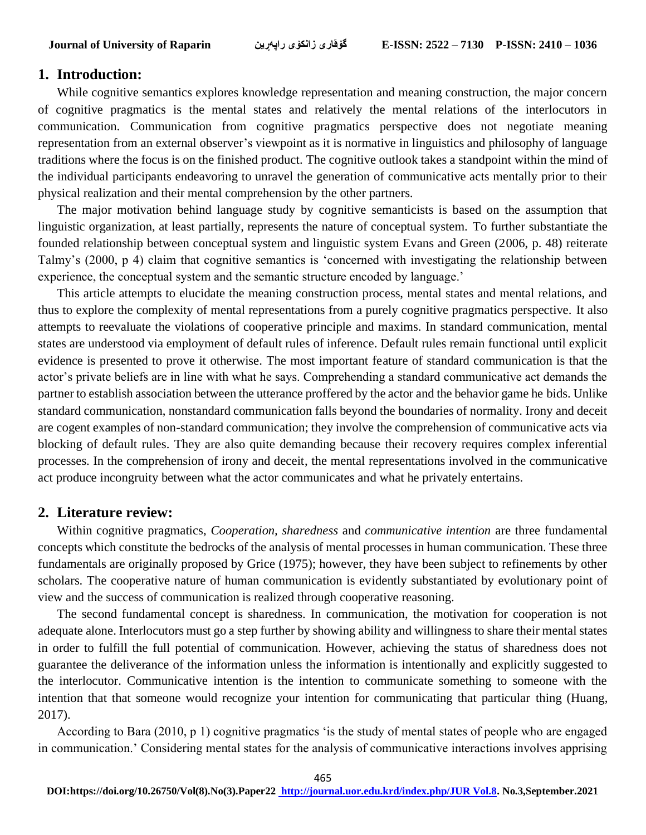#### **1. Introduction:**

While cognitive semantics explores knowledge representation and meaning construction, the major concern of cognitive pragmatics is the mental states and relatively the mental relations of the interlocutors in communication. Communication from cognitive pragmatics perspective does not negotiate meaning representation from an external observer's viewpoint as it is normative in linguistics and philosophy of language traditions where the focus is on the finished product. The cognitive outlook takes a standpoint within the mind of the individual participants endeavoring to unravel the generation of communicative acts mentally prior to their physical realization and their mental comprehension by the other partners.

The major motivation behind language study by cognitive semanticists is based on the assumption that linguistic organization, at least partially, represents the nature of conceptual system. To further substantiate the founded relationship between conceptual system and linguistic system Evans and Green (2006, p. 48) reiterate Talmy's (2000, p 4) claim that cognitive semantics is 'concerned with investigating the relationship between experience, the conceptual system and the semantic structure encoded by language.'

This article attempts to elucidate the meaning construction process, mental states and mental relations, and thus to explore the complexity of mental representations from a purely cognitive pragmatics perspective. It also attempts to reevaluate the violations of cooperative principle and maxims. In standard communication, mental states are understood via employment of default rules of inference. Default rules remain functional until explicit evidence is presented to prove it otherwise. The most important feature of standard communication is that the actor's private beliefs are in line with what he says. Comprehending a standard communicative act demands the partner to establish association between the utterance proffered by the actor and the behavior game he bids. Unlike standard communication, nonstandard communication falls beyond the boundaries of normality. Irony and deceit are cogent examples of non-standard communication; they involve the comprehension of communicative acts via blocking of default rules. They are also quite demanding because their recovery requires complex inferential processes. In the comprehension of irony and deceit, the mental representations involved in the communicative act produce incongruity between what the actor communicates and what he privately entertains.

#### **2. Literature review:**

Within cognitive pragmatics, *Cooperation, sharedness* and *communicative intention* are three fundamental concepts which constitute the bedrocks of the analysis of mental processes in human communication. These three fundamentals are originally proposed by Grice (1975); however, they have been subject to refinements by other scholars. The cooperative nature of human communication is evidently substantiated by evolutionary point of view and the success of communication is realized through cooperative reasoning.

The second fundamental concept is sharedness. In communication, the motivation for cooperation is not adequate alone. Interlocutors must go a step further by showing ability and willingness to share their mental states in order to fulfill the full potential of communication. However, achieving the status of sharedness does not guarantee the deliverance of the information unless the information is intentionally and explicitly suggested to the interlocutor. Communicative intention is the intention to communicate something to someone with the intention that that someone would recognize your intention for communicating that particular thing (Huang, 2017).

According to Bara (2010, p 1) cognitive pragmatics 'is the study of mental states of people who are engaged in communication.' Considering mental states for the analysis of communicative interactions involves apprising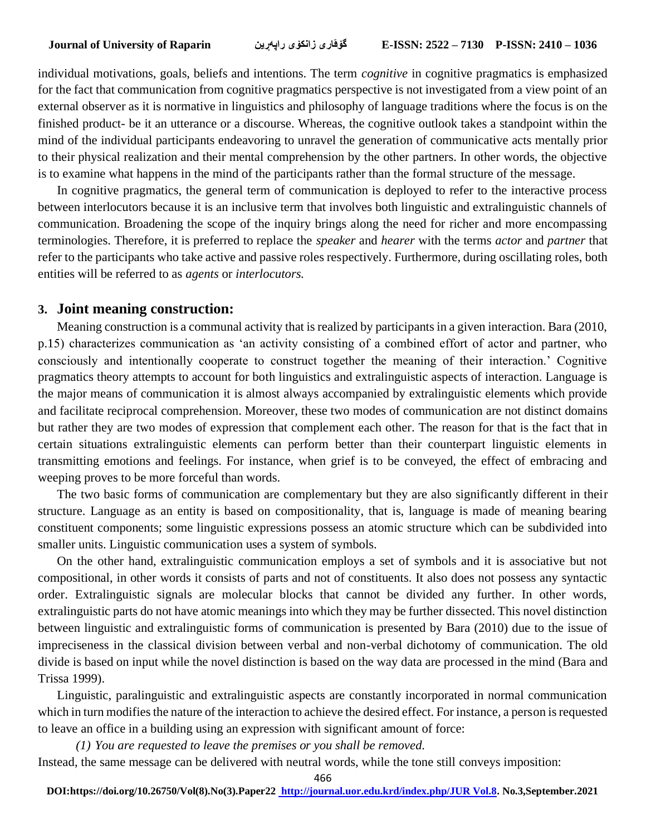individual motivations, goals, beliefs and intentions. The term *cognitive* in cognitive pragmatics is emphasized for the fact that communication from cognitive pragmatics perspective is not investigated from a view point of an external observer as it is normative in linguistics and philosophy of language traditions where the focus is on the finished product- be it an utterance or a discourse. Whereas, the cognitive outlook takes a standpoint within the mind of the individual participants endeavoring to unravel the generation of communicative acts mentally prior to their physical realization and their mental comprehension by the other partners. In other words, the objective is to examine what happens in the mind of the participants rather than the formal structure of the message.

In cognitive pragmatics, the general term of communication is deployed to refer to the interactive process between interlocutors because it is an inclusive term that involves both linguistic and extralinguistic channels of communication. Broadening the scope of the inquiry brings along the need for richer and more encompassing terminologies. Therefore, it is preferred to replace the *speaker* and *hearer* with the terms *actor* and *partner* that refer to the participants who take active and passive roles respectively. Furthermore, during oscillating roles, both entities will be referred to as *agents* or *interlocutors.*

#### **3. Joint meaning construction:**

Meaning construction is a communal activity that is realized by participants in a given interaction. Bara (2010, p.15) characterizes communication as 'an activity consisting of a combined effort of actor and partner, who consciously and intentionally cooperate to construct together the meaning of their interaction.' Cognitive pragmatics theory attempts to account for both linguistics and extralinguistic aspects of interaction. Language is the major means of communication it is almost always accompanied by extralinguistic elements which provide and facilitate reciprocal comprehension. Moreover, these two modes of communication are not distinct domains but rather they are two modes of expression that complement each other. The reason for that is the fact that in certain situations extralinguistic elements can perform better than their counterpart linguistic elements in transmitting emotions and feelings. For instance, when grief is to be conveyed, the effect of embracing and weeping proves to be more forceful than words.

The two basic forms of communication are complementary but they are also significantly different in their structure. Language as an entity is based on compositionality, that is, language is made of meaning bearing constituent components; some linguistic expressions possess an atomic structure which can be subdivided into smaller units. Linguistic communication uses a system of symbols.

On the other hand, extralinguistic communication employs a set of symbols and it is associative but not compositional, in other words it consists of parts and not of constituents. It also does not possess any syntactic order. Extralinguistic signals are molecular blocks that cannot be divided any further. In other words, extralinguistic parts do not have atomic meanings into which they may be further dissected. This novel distinction between linguistic and extralinguistic forms of communication is presented by Bara (2010) due to the issue of impreciseness in the classical division between verbal and non-verbal dichotomy of communication. The old divide is based on input while the novel distinction is based on the way data are processed in the mind (Bara and Trissa 1999).

Linguistic, paralinguistic and extralinguistic aspects are constantly incorporated in normal communication which in turn modifies the nature of the interaction to achieve the desired effect. For instance, a person is requested to leave an office in a building using an expression with significant amount of force:

*(1) You are requested to leave the premises or you shall be removed.*

Instead, the same message can be delivered with neutral words, while the tone still conveys imposition:

466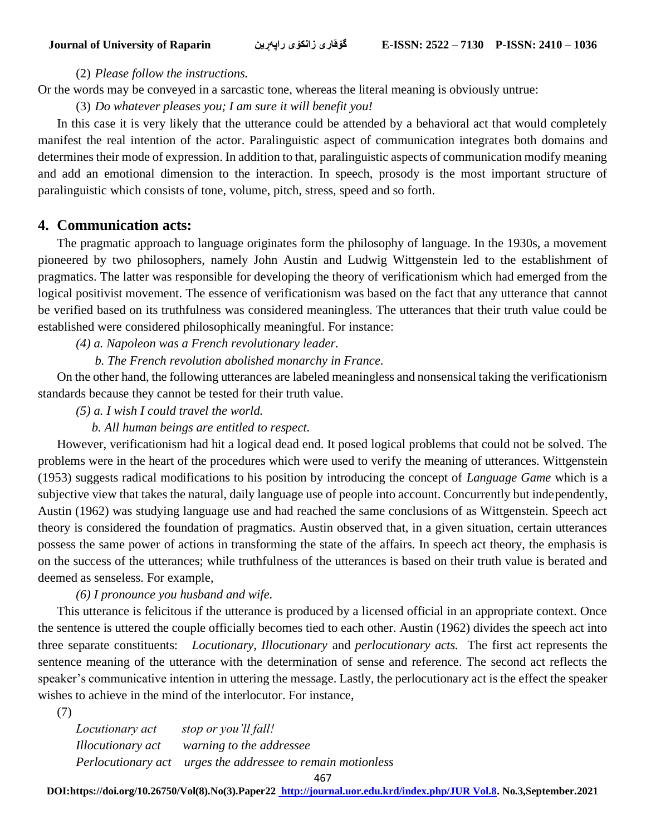(2) *Please follow the instructions.*

Or the words may be conveyed in a sarcastic tone, whereas the literal meaning is obviously untrue:

(3) *Do whatever pleases you; I am sure it will benefit you!* 

In this case it is very likely that the utterance could be attended by a behavioral act that would completely manifest the real intention of the actor. Paralinguistic aspect of communication integrates both domains and determines their mode of expression. In addition to that, paralinguistic aspects of communication modify meaning and add an emotional dimension to the interaction. In speech, prosody is the most important structure of paralinguistic which consists of tone, volume, pitch, stress, speed and so forth.

## **4. Communication acts:**

The pragmatic approach to language originates form the philosophy of language. In the 1930s, a movement pioneered by two philosophers, namely John Austin and Ludwig Wittgenstein led to the establishment of pragmatics. The latter was responsible for developing the theory of verificationism which had emerged from the logical positivist movement. The essence of verificationism was based on the fact that any utterance that cannot be verified based on its truthfulness was considered meaningless. The utterances that their truth value could be established were considered philosophically meaningful. For instance:

*(4) a. Napoleon was a French revolutionary leader.* 

 *b. The French revolution abolished monarchy in France.* 

 On the other hand, the following utterances are labeled meaningless and nonsensical taking the verificationism standards because they cannot be tested for their truth value.

*(5) a. I wish I could travel the world.* 

 *b. All human beings are entitled to respect.* 

 However, verificationism had hit a logical dead end. It posed logical problems that could not be solved. The problems were in the heart of the procedures which were used to verify the meaning of utterances. Wittgenstein (1953) suggests radical modifications to his position by introducing the concept of *Language Game* which is a subjective view that takes the natural, daily language use of people into account. Concurrently but independently, Austin (1962) was studying language use and had reached the same conclusions of as Wittgenstein. Speech act theory is considered the foundation of pragmatics. Austin observed that, in a given situation, certain utterances possess the same power of actions in transforming the state of the affairs. In speech act theory, the emphasis is on the success of the utterances; while truthfulness of the utterances is based on their truth value is berated and deemed as senseless. For example,

*(6) I pronounce you husband and wife.*

This utterance is felicitous if the utterance is produced by a licensed official in an appropriate context. Once the sentence is uttered the couple officially becomes tied to each other. Austin (1962) divides the speech act into three separate constituents: *Locutionary, Illocutionary* and *perlocutionary acts.* The first act represents the sentence meaning of the utterance with the determination of sense and reference. The second act reflects the speaker's communicative intention in uttering the message. Lastly, the perlocutionary act is the effect the speaker wishes to achieve in the mind of the interlocutor. For instance,

(7)

*Locutionary act stop or you'll fall! Illocutionary act warning to the addressee Perlocutionary act urges the addressee to remain motionless* 

**DOI:https://doi.org/10.26750/Vol(8).No(3).Paper22 [http://journal.uor.edu.krd/index.php/JUR Vol.8.](http://journal.uor.edu.krd/index.php/JUR%20Vol.8) No.3,September.2021**

<sup>467</sup>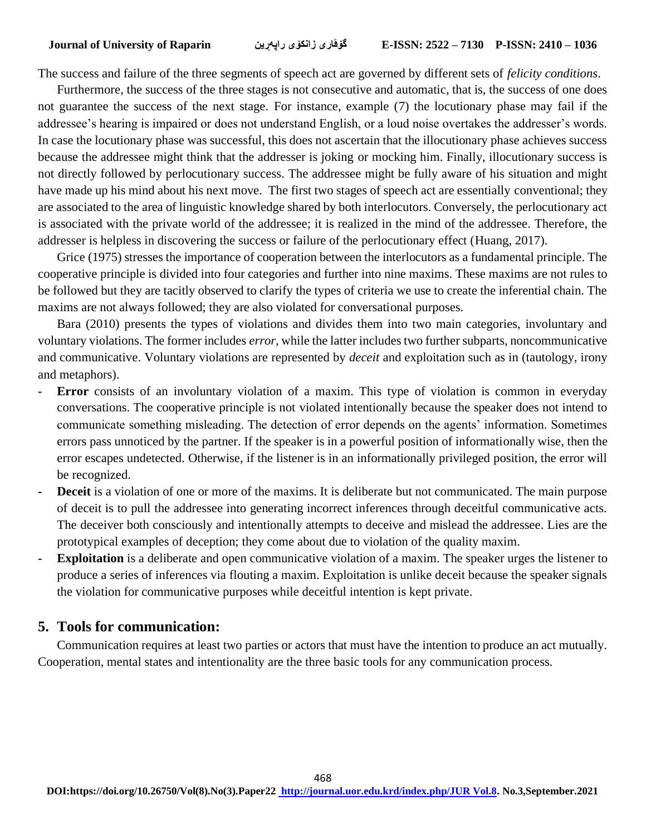The success and failure of the three segments of speech act are governed by different sets of *felicity conditions*.

Furthermore, the success of the three stages is not consecutive and automatic, that is, the success of one does not guarantee the success of the next stage. For instance, example (7) the locutionary phase may fail if the addressee's hearing is impaired or does not understand English, or a loud noise overtakes the addresser's words. In case the locutionary phase was successful, this does not ascertain that the illocutionary phase achieves success because the addressee might think that the addresser is joking or mocking him. Finally, illocutionary success is not directly followed by perlocutionary success. The addressee might be fully aware of his situation and might have made up his mind about his next move. The first two stages of speech act are essentially conventional; they are associated to the area of linguistic knowledge shared by both interlocutors. Conversely, the perlocutionary act is associated with the private world of the addressee; it is realized in the mind of the addressee. Therefore, the addresser is helpless in discovering the success or failure of the perlocutionary effect (Huang, 2017).

Grice (1975) stresses the importance of cooperation between the interlocutors as a fundamental principle. The cooperative principle is divided into four categories and further into nine maxims. These maxims are not rules to be followed but they are tacitly observed to clarify the types of criteria we use to create the inferential chain. The maxims are not always followed; they are also violated for conversational purposes.

Bara (2010) presents the types of violations and divides them into two main categories, involuntary and voluntary violations. The former includes *error,* while the latter includes two further subparts, noncommunicative and communicative. Voluntary violations are represented by *deceit* and exploitation such as in (tautology, irony and metaphors).

- **- Error** consists of an involuntary violation of a maxim. This type of violation is common in everyday conversations. The cooperative principle is not violated intentionally because the speaker does not intend to communicate something misleading. The detection of error depends on the agents' information. Sometimes errors pass unnoticed by the partner. If the speaker is in a powerful position of informationally wise, then the error escapes undetected. Otherwise, if the listener is in an informationally privileged position, the error will be recognized.
- **- Deceit** is a violation of one or more of the maxims. It is deliberate but not communicated. The main purpose of deceit is to pull the addressee into generating incorrect inferences through deceitful communicative acts. The deceiver both consciously and intentionally attempts to deceive and mislead the addressee. Lies are the prototypical examples of deception; they come about due to violation of the quality maxim.
- **- Exploitation** is a deliberate and open communicative violation of a maxim. The speaker urges the listener to produce a series of inferences via flouting a maxim. Exploitation is unlike deceit because the speaker signals the violation for communicative purposes while deceitful intention is kept private.

#### **5. Tools for communication:**

Communication requires at least two parties or actors that must have the intention to produce an act mutually. Cooperation, mental states and intentionality are the three basic tools for any communication process.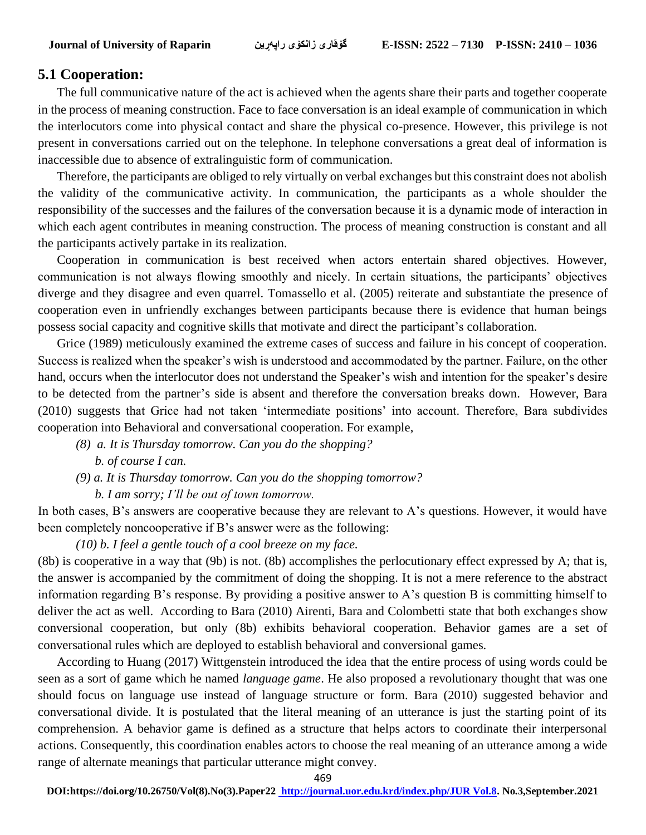### **5.1 Cooperation:**

The full communicative nature of the act is achieved when the agents share their parts and together cooperate in the process of meaning construction. Face to face conversation is an ideal example of communication in which the interlocutors come into physical contact and share the physical co-presence. However, this privilege is not present in conversations carried out on the telephone. In telephone conversations a great deal of information is inaccessible due to absence of extralinguistic form of communication.

Therefore, the participants are obliged to rely virtually on verbal exchanges but this constraint does not abolish the validity of the communicative activity. In communication, the participants as a whole shoulder the responsibility of the successes and the failures of the conversation because it is a dynamic mode of interaction in which each agent contributes in meaning construction. The process of meaning construction is constant and all the participants actively partake in its realization.

Cooperation in communication is best received when actors entertain shared objectives. However, communication is not always flowing smoothly and nicely. In certain situations, the participants' objectives diverge and they disagree and even quarrel. Tomassello et al. (2005) reiterate and substantiate the presence of cooperation even in unfriendly exchanges between participants because there is evidence that human beings possess social capacity and cognitive skills that motivate and direct the participant's collaboration.

Grice (1989) meticulously examined the extreme cases of success and failure in his concept of cooperation. Success is realized when the speaker's wish is understood and accommodated by the partner. Failure, on the other hand, occurs when the interlocutor does not understand the Speaker's wish and intention for the speaker's desire to be detected from the partner's side is absent and therefore the conversation breaks down. However, Bara (2010) suggests that Grice had not taken 'intermediate positions' into account. Therefore, Bara subdivides cooperation into Behavioral and conversational cooperation. For example,

- *(8) a. It is Thursday tomorrow. Can you do the shopping?*
	- *b. of course I can.*
- *(9) a. It is Thursday tomorrow. Can you do the shopping tomorrow?*
	- *b. I am sorry; I'll be out of town tomorrow.*

In both cases, B's answers are cooperative because they are relevant to A's questions. However, it would have been completely noncooperative if B's answer were as the following:

*(10) b. I feel a gentle touch of a cool breeze on my face.* 

(8b) is cooperative in a way that (9b) is not. (8b) accomplishes the perlocutionary effect expressed by A; that is, the answer is accompanied by the commitment of doing the shopping. It is not a mere reference to the abstract information regarding B's response. By providing a positive answer to A's question B is committing himself to deliver the act as well. According to Bara (2010) Airenti, Bara and Colombetti state that both exchanges show conversional cooperation, but only (8b) exhibits behavioral cooperation. Behavior games are a set of conversational rules which are deployed to establish behavioral and conversional games.

According to Huang (2017) Wittgenstein introduced the idea that the entire process of using words could be seen as a sort of game which he named *language game*. He also proposed a revolutionary thought that was one should focus on language use instead of language structure or form. Bara (2010) suggested behavior and conversational divide. It is postulated that the literal meaning of an utterance is just the starting point of its comprehension. A behavior game is defined as a structure that helps actors to coordinate their interpersonal actions. Consequently, this coordination enables actors to choose the real meaning of an utterance among a wide range of alternate meanings that particular utterance might convey.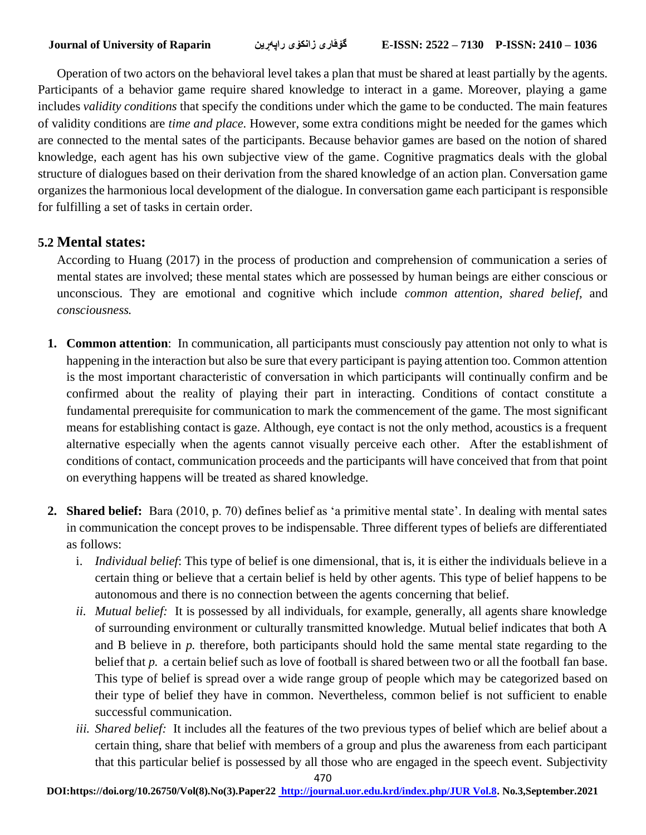Operation of two actors on the behavioral level takes a plan that must be shared at least partially by the agents. Participants of a behavior game require shared knowledge to interact in a game. Moreover, playing a game includes *validity conditions* that specify the conditions under which the game to be conducted. The main features of validity conditions are *time and place.* However, some extra conditions might be needed for the games which are connected to the mental sates of the participants. Because behavior games are based on the notion of shared knowledge, each agent has his own subjective view of the game. Cognitive pragmatics deals with the global structure of dialogues based on their derivation from the shared knowledge of an action plan. Conversation game organizes the harmonious local development of the dialogue. In conversation game each participant is responsible for fulfilling a set of tasks in certain order.

## **5.2 Mental states:**

According to Huang (2017) in the process of production and comprehension of communication a series of mental states are involved; these mental states which are possessed by human beings are either conscious or unconscious. They are emotional and cognitive which include *common attention, shared belief,* and *consciousness.*

- **1. Common attention**: In communication, all participants must consciously pay attention not only to what is happening in the interaction but also be sure that every participant is paying attention too. Common attention is the most important characteristic of conversation in which participants will continually confirm and be confirmed about the reality of playing their part in interacting. Conditions of contact constitute a fundamental prerequisite for communication to mark the commencement of the game. The most significant means for establishing contact is gaze. Although, eye contact is not the only method, acoustics is a frequent alternative especially when the agents cannot visually perceive each other. After the establishment of conditions of contact, communication proceeds and the participants will have conceived that from that point on everything happens will be treated as shared knowledge.
- **2. Shared belief:**Bara (2010, p. 70) defines belief as 'a primitive mental state'. In dealing with mental sates in communication the concept proves to be indispensable. Three different types of beliefs are differentiated as follows:
	- i. *Individual belief*: This type of belief is one dimensional, that is, it is either the individuals believe in a certain thing or believe that a certain belief is held by other agents. This type of belief happens to be autonomous and there is no connection between the agents concerning that belief.
	- *ii. Mutual belief:* It is possessed by all individuals, for example, generally, all agents share knowledge of surrounding environment or culturally transmitted knowledge. Mutual belief indicates that both A and B believe in *p.* therefore, both participants should hold the same mental state regarding to the belief that *p.* a certain belief such as love of football is shared between two or all the football fan base. This type of belief is spread over a wide range group of people which may be categorized based on their type of belief they have in common. Nevertheless, common belief is not sufficient to enable successful communication.
	- *iii. Shared belief:* It includes all the features of the two previous types of belief which are belief about a certain thing, share that belief with members of a group and plus the awareness from each participant that this particular belief is possessed by all those who are engaged in the speech event. Subjectivity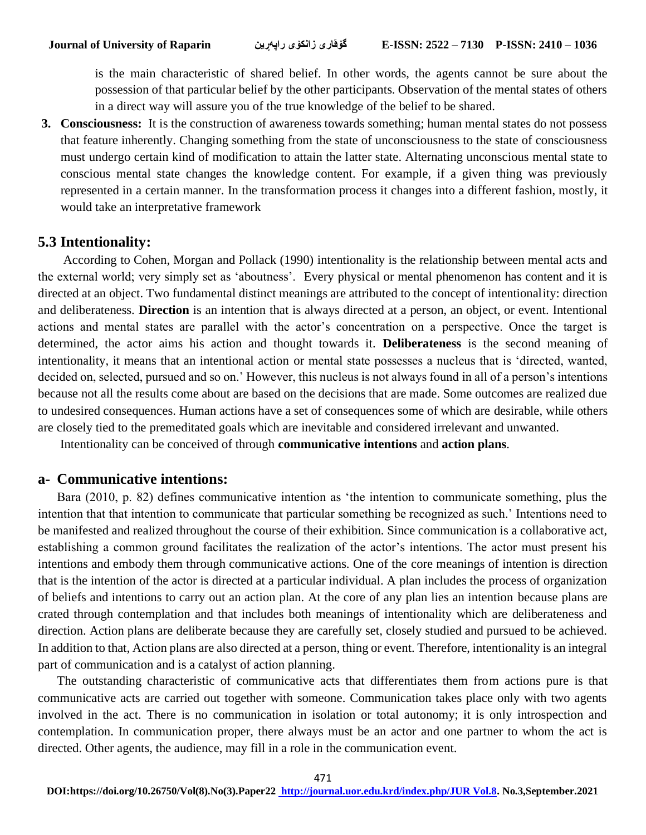is the main characteristic of shared belief. In other words, the agents cannot be sure about the possession of that particular belief by the other participants. Observation of the mental states of others in a direct way will assure you of the true knowledge of the belief to be shared.

**3. Consciousness:** It is the construction of awareness towards something; human mental states do not possess that feature inherently. Changing something from the state of unconsciousness to the state of consciousness must undergo certain kind of modification to attain the latter state. Alternating unconscious mental state to conscious mental state changes the knowledge content. For example, if a given thing was previously represented in a certain manner. In the transformation process it changes into a different fashion, mostly, it would take an interpretative framework

#### **5.3 Intentionality:**

 According to Cohen, Morgan and Pollack (1990) intentionality is the relationship between mental acts and the external world; very simply set as 'aboutness'. Every physical or mental phenomenon has content and it is directed at an object. Two fundamental distinct meanings are attributed to the concept of intentionality: direction and deliberateness. **Direction** is an intention that is always directed at a person, an object, or event. Intentional actions and mental states are parallel with the actor's concentration on a perspective. Once the target is determined, the actor aims his action and thought towards it. **Deliberateness** is the second meaning of intentionality, it means that an intentional action or mental state possesses a nucleus that is 'directed, wanted, decided on, selected, pursued and so on.' However, this nucleus is not always found in all of a person's intentions because not all the results come about are based on the decisions that are made. Some outcomes are realized due to undesired consequences. Human actions have a set of consequences some of which are desirable, while others are closely tied to the premeditated goals which are inevitable and considered irrelevant and unwanted.

Intentionality can be conceived of through **communicative intentions** and **action plans**.

## **a- Communicative intentions:**

Bara (2010, p. 82) defines communicative intention as 'the intention to communicate something, plus the intention that that intention to communicate that particular something be recognized as such.' Intentions need to be manifested and realized throughout the course of their exhibition. Since communication is a collaborative act, establishing a common ground facilitates the realization of the actor's intentions. The actor must present his intentions and embody them through communicative actions. One of the core meanings of intention is direction that is the intention of the actor is directed at a particular individual. A plan includes the process of organization of beliefs and intentions to carry out an action plan. At the core of any plan lies an intention because plans are crated through contemplation and that includes both meanings of intentionality which are deliberateness and direction. Action plans are deliberate because they are carefully set, closely studied and pursued to be achieved. In addition to that, Action plans are also directed at a person, thing or event. Therefore, intentionality is an integral part of communication and is a catalyst of action planning.

 The outstanding characteristic of communicative acts that differentiates them from actions pure is that communicative acts are carried out together with someone. Communication takes place only with two agents involved in the act. There is no communication in isolation or total autonomy; it is only introspection and contemplation. In communication proper, there always must be an actor and one partner to whom the act is directed. Other agents, the audience, may fill in a role in the communication event.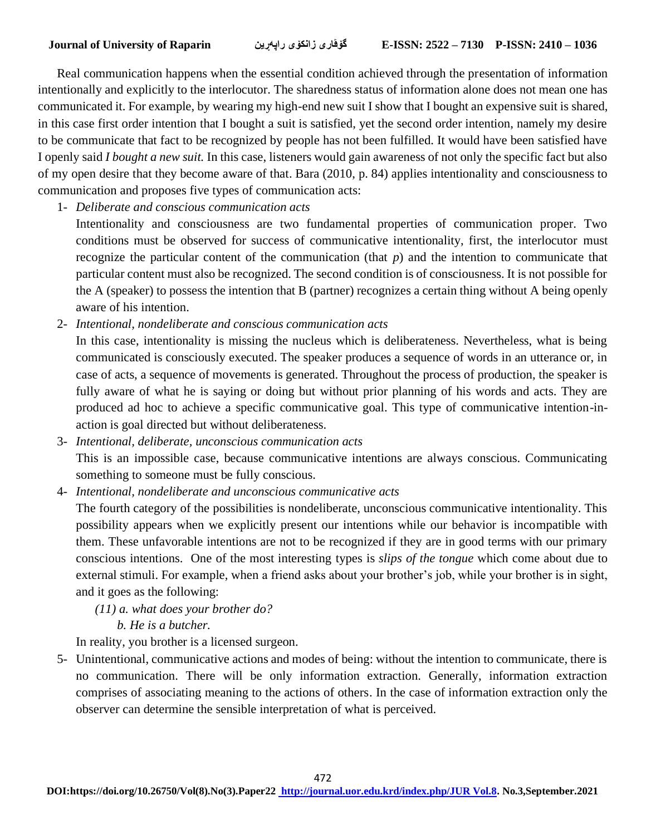Real communication happens when the essential condition achieved through the presentation of information intentionally and explicitly to the interlocutor. The sharedness status of information alone does not mean one has communicated it. For example, by wearing my high-end new suit I show that I bought an expensive suit is shared, in this case first order intention that I bought a suit is satisfied, yet the second order intention, namely my desire to be communicate that fact to be recognized by people has not been fulfilled. It would have been satisfied have I openly said *I bought a new suit.* In this case, listeners would gain awareness of not only the specific fact but also of my open desire that they become aware of that. Bara (2010, p. 84) applies intentionality and consciousness to communication and proposes five types of communication acts:

1- *Deliberate and conscious communication acts*

Intentionality and consciousness are two fundamental properties of communication proper. Two conditions must be observed for success of communicative intentionality, first, the interlocutor must recognize the particular content of the communication (that *p*) and the intention to communicate that particular content must also be recognized. The second condition is of consciousness. It is not possible for the A (speaker) to possess the intention that B (partner) recognizes a certain thing without A being openly aware of his intention.

- 2- *Intentional, nondeliberate and conscious communication acts*
	- In this case, intentionality is missing the nucleus which is deliberateness. Nevertheless, what is being communicated is consciously executed. The speaker produces a sequence of words in an utterance or, in case of acts, a sequence of movements is generated. Throughout the process of production, the speaker is fully aware of what he is saying or doing but without prior planning of his words and acts. They are produced ad hoc to achieve a specific communicative goal. This type of communicative intention-inaction is goal directed but without deliberateness.
- 3- *Intentional, deliberate, unconscious communication acts* This is an impossible case, because communicative intentions are always conscious. Communicating something to someone must be fully conscious.
- 4- *Intentional, nondeliberate and unconscious communicative acts*

The fourth category of the possibilities is nondeliberate, unconscious communicative intentionality. This possibility appears when we explicitly present our intentions while our behavior is incompatible with them. These unfavorable intentions are not to be recognized if they are in good terms with our primary conscious intentions. One of the most interesting types is *slips of the tongue* which come about due to external stimuli. For example, when a friend asks about your brother's job, while your brother is in sight, and it goes as the following:

- *(11) a. what does your brother do?* 
	- *b. He is a butcher.*

In reality, you brother is a licensed surgeon.

5- Unintentional, communicative actions and modes of being: without the intention to communicate, there is no communication. There will be only information extraction. Generally, information extraction comprises of associating meaning to the actions of others. In the case of information extraction only the observer can determine the sensible interpretation of what is perceived.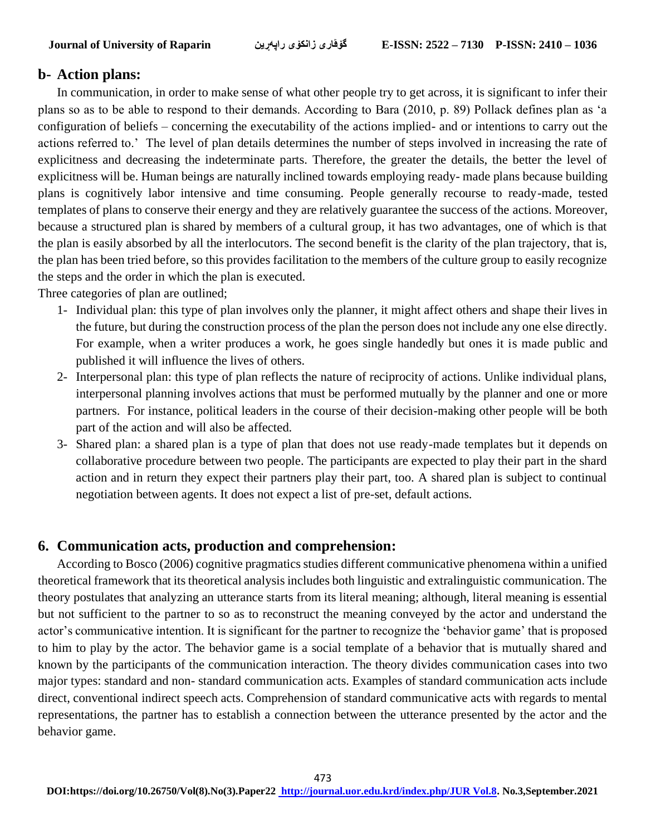#### **b- Action plans:**

 In communication, in order to make sense of what other people try to get across, it is significant to infer their plans so as to be able to respond to their demands. According to Bara (2010, p. 89) Pollack defines plan as 'a configuration of beliefs – concerning the executability of the actions implied- and or intentions to carry out the actions referred to.' The level of plan details determines the number of steps involved in increasing the rate of explicitness and decreasing the indeterminate parts. Therefore, the greater the details, the better the level of explicitness will be. Human beings are naturally inclined towards employing ready- made plans because building plans is cognitively labor intensive and time consuming. People generally recourse to ready-made, tested templates of plans to conserve their energy and they are relatively guarantee the success of the actions. Moreover, because a structured plan is shared by members of a cultural group, it has two advantages, one of which is that the plan is easily absorbed by all the interlocutors. The second benefit is the clarity of the plan trajectory, that is, the plan has been tried before, so this provides facilitation to the members of the culture group to easily recognize the steps and the order in which the plan is executed.

Three categories of plan are outlined;

- 1- Individual plan: this type of plan involves only the planner, it might affect others and shape their lives in the future, but during the construction process of the plan the person does not include any one else directly. For example, when a writer produces a work, he goes single handedly but ones it is made public and published it will influence the lives of others.
- 2- Interpersonal plan: this type of plan reflects the nature of reciprocity of actions. Unlike individual plans, interpersonal planning involves actions that must be performed mutually by the planner and one or more partners. For instance, political leaders in the course of their decision-making other people will be both part of the action and will also be affected.
- 3- Shared plan: a shared plan is a type of plan that does not use ready-made templates but it depends on collaborative procedure between two people. The participants are expected to play their part in the shard action and in return they expect their partners play their part, too. A shared plan is subject to continual negotiation between agents. It does not expect a list of pre-set, default actions.

## **6. Communication acts, production and comprehension:**

 According to Bosco (2006) cognitive pragmatics studies different communicative phenomena within a unified theoretical framework that its theoretical analysis includes both linguistic and extralinguistic communication. The theory postulates that analyzing an utterance starts from its literal meaning; although, literal meaning is essential but not sufficient to the partner to so as to reconstruct the meaning conveyed by the actor and understand the actor's communicative intention. It is significant for the partner to recognize the 'behavior game' that is proposed to him to play by the actor. The behavior game is a social template of a behavior that is mutually shared and known by the participants of the communication interaction. The theory divides communication cases into two major types: standard and non- standard communication acts. Examples of standard communication acts include direct, conventional indirect speech acts. Comprehension of standard communicative acts with regards to mental representations, the partner has to establish a connection between the utterance presented by the actor and the behavior game.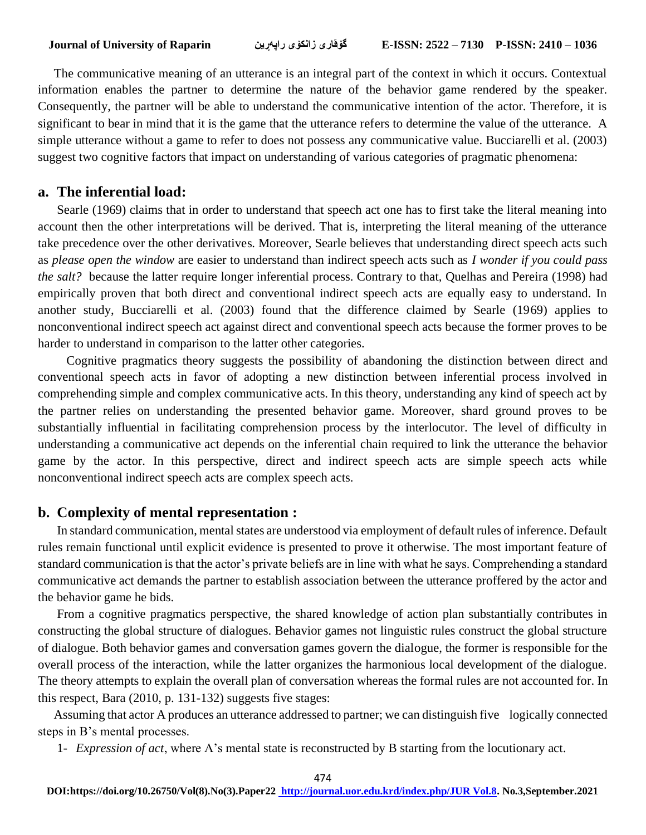The communicative meaning of an utterance is an integral part of the context in which it occurs. Contextual information enables the partner to determine the nature of the behavior game rendered by the speaker. Consequently, the partner will be able to understand the communicative intention of the actor. Therefore, it is significant to bear in mind that it is the game that the utterance refers to determine the value of the utterance. A simple utterance without a game to refer to does not possess any communicative value. Bucciarelli et al. (2003) suggest two cognitive factors that impact on understanding of various categories of pragmatic phenomena:

## **a. The inferential load:**

Searle (1969) claims that in order to understand that speech act one has to first take the literal meaning into account then the other interpretations will be derived. That is, interpreting the literal meaning of the utterance take precedence over the other derivatives. Moreover, Searle believes that understanding direct speech acts such as *please open the window* are easier to understand than indirect speech acts such as *I wonder if you could pass the salt?* because the latter require longer inferential process. Contrary to that, Quelhas and Pereira (1998) had empirically proven that both direct and conventional indirect speech acts are equally easy to understand. In another study, Bucciarelli et al. (2003) found that the difference claimed by Searle (1969) applies to nonconventional indirect speech act against direct and conventional speech acts because the former proves to be harder to understand in comparison to the latter other categories.

Cognitive pragmatics theory suggests the possibility of abandoning the distinction between direct and conventional speech acts in favor of adopting a new distinction between inferential process involved in comprehending simple and complex communicative acts. In this theory, understanding any kind of speech act by the partner relies on understanding the presented behavior game. Moreover, shard ground proves to be substantially influential in facilitating comprehension process by the interlocutor. The level of difficulty in understanding a communicative act depends on the inferential chain required to link the utterance the behavior game by the actor. In this perspective, direct and indirect speech acts are simple speech acts while nonconventional indirect speech acts are complex speech acts.

#### **b. Complexity of mental representation :**

In standard communication, mental states are understood via employment of default rules of inference. Default rules remain functional until explicit evidence is presented to prove it otherwise. The most important feature of standard communication is that the actor's private beliefs are in line with what he says. Comprehending a standard communicative act demands the partner to establish association between the utterance proffered by the actor and the behavior game he bids.

From a cognitive pragmatics perspective, the shared knowledge of action plan substantially contributes in constructing the global structure of dialogues. Behavior games not linguistic rules construct the global structure of dialogue. Both behavior games and conversation games govern the dialogue, the former is responsible for the overall process of the interaction, while the latter organizes the harmonious local development of the dialogue. The theory attempts to explain the overall plan of conversation whereas the formal rules are not accounted for. In this respect, Bara (2010, p. 131-132) suggests five stages:

 Assuming that actor A produces an utterance addressed to partner; we can distinguish five logically connected steps in B's mental processes.

1- *Expression of act*, where A's mental state is reconstructed by B starting from the locutionary act.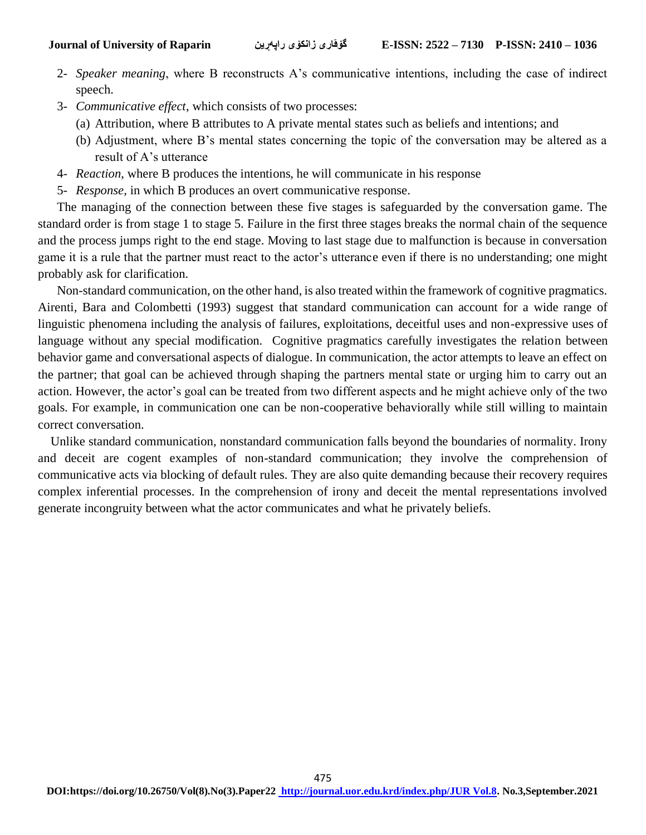- 2- *Speaker meaning*, where B reconstructs A's communicative intentions, including the case of indirect speech.
- 3- *Communicative effect*, which consists of two processes:
	- (a) Attribution, where B attributes to A private mental states such as beliefs and intentions; and
	- (b) Adjustment, where B's mental states concerning the topic of the conversation may be altered as a result of A's utterance
- 4- *Reaction*, where B produces the intentions, he will communicate in his response
- 5- *Response*, in which B produces an overt communicative response.

 The managing of the connection between these five stages is safeguarded by the conversation game. The standard order is from stage 1 to stage 5. Failure in the first three stages breaks the normal chain of the sequence and the process jumps right to the end stage. Moving to last stage due to malfunction is because in conversation game it is a rule that the partner must react to the actor's utterance even if there is no understanding; one might probably ask for clarification.

 Non-standard communication, on the other hand, is also treated within the framework of cognitive pragmatics. Airenti, Bara and Colombetti (1993) suggest that standard communication can account for a wide range of linguistic phenomena including the analysis of failures, exploitations, deceitful uses and non-expressive uses of language without any special modification. Cognitive pragmatics carefully investigates the relation between behavior game and conversational aspects of dialogue. In communication, the actor attempts to leave an effect on the partner; that goal can be achieved through shaping the partners mental state or urging him to carry out an action. However, the actor's goal can be treated from two different aspects and he might achieve only of the two goals. For example, in communication one can be non-cooperative behaviorally while still willing to maintain correct conversation.

 Unlike standard communication, nonstandard communication falls beyond the boundaries of normality. Irony and deceit are cogent examples of non-standard communication; they involve the comprehension of communicative acts via blocking of default rules. They are also quite demanding because their recovery requires complex inferential processes. In the comprehension of irony and deceit the mental representations involved generate incongruity between what the actor communicates and what he privately beliefs.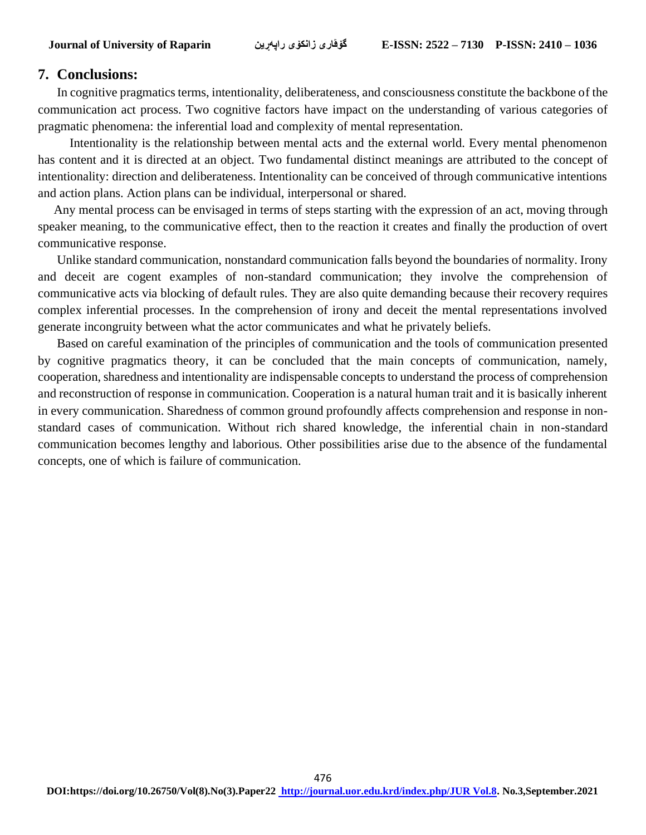#### **7. Conclusions:**

In cognitive pragmatics terms, intentionality, deliberateness, and consciousness constitute the backbone of the communication act process. Two cognitive factors have impact on the understanding of various categories of pragmatic phenomena: the inferential load and complexity of mental representation.

 Intentionality is the relationship between mental acts and the external world. Every mental phenomenon has content and it is directed at an object. Two fundamental distinct meanings are attributed to the concept of intentionality: direction and deliberateness. Intentionality can be conceived of through communicative intentions and action plans. Action plans can be individual, interpersonal or shared.

 Any mental process can be envisaged in terms of steps starting with the expression of an act, moving through speaker meaning, to the communicative effect, then to the reaction it creates and finally the production of overt communicative response.

Unlike standard communication, nonstandard communication falls beyond the boundaries of normality. Irony and deceit are cogent examples of non-standard communication; they involve the comprehension of communicative acts via blocking of default rules. They are also quite demanding because their recovery requires complex inferential processes. In the comprehension of irony and deceit the mental representations involved generate incongruity between what the actor communicates and what he privately beliefs.

Based on careful examination of the principles of communication and the tools of communication presented by cognitive pragmatics theory, it can be concluded that the main concepts of communication, namely, cooperation, sharedness and intentionality are indispensable concepts to understand the process of comprehension and reconstruction of response in communication. Cooperation is a natural human trait and it is basically inherent in every communication. Sharedness of common ground profoundly affects comprehension and response in nonstandard cases of communication. Without rich shared knowledge, the inferential chain in non-standard communication becomes lengthy and laborious. Other possibilities arise due to the absence of the fundamental concepts, one of which is failure of communication.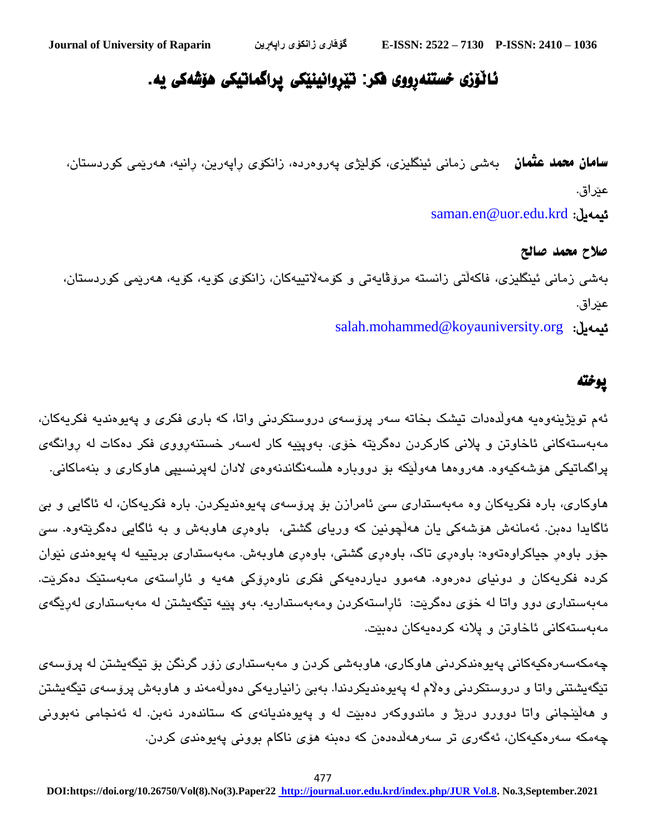# ئاڵۆزی خستنەڕووی فکر: تێڕوانینێکی پراگماتیکی هۆشەکی یە.

**سامان محمد عثمان** بەشی زمانی ئینگلیزی، کۆلێژی پەروەردە، زانکۆی راپەرین، رانیە، ھەرێمی کوردستان، عێراق. [saman.en@uor.edu.krd](mailto:saman.en@uor.edu.krd) :ئیمەیڵ

صالح محمد صالح بەشی زمانی ئینگلیزی، فاکەڵتی زانستە مرۆڤایەتی و کۆمەاڵتییەکان، زانکۆی کۆیە، کۆیە، هەرێمی کوردستان، عێراق. [salah.mohammed@koyauniversity.org](mailto:salah.mohammed@koyauniversity.org) :ئیمەیڵ

# پوختە

ئەم توێژینەوەیە هەوڵدەدات تیشک بخاتە سەر پرۆسەی دروستکردنی واتا، کە باری فکری و پەیوەندیە فکریەکان، مەبەستەکانی ئاخاوتن و پالنی کارکردن دەگرێتە خۆی. بەوپێیە کار لەسەر خستنەڕووی فکر دەکات لە ڕوانگەی پراگماتیکی هۆشەکیەوە. هەروەها هەوڵێکە بۆ دووبارە هڵسەنگاندنەوەی الدان لەپرنسیپی هاوکاری و بنەماکانی.

هاوکاری، باره فکریەکان وە مەبەستداری سیّ ئامرازن بۆ پرۆسەی پەيوەندیکردن. بارە فکریەکان، لە ئاگایی و بیّ ئاگايدا دەبن. ئەمانەش ھۆشەكی یان ھەڵچونین كە وریای گشتی، باوەری ھاوبەش و بە ئاگایی دەگرێتەوە. سێ جۆر باوەر جیاکراوەتەوە: باوەری تاک، باوەری گشتی، باوەری هاوبەش. مەبەستداری بریتییه له پەیوەندی نێوان کردە فکریەکان و دونیای دەرەوە. هەموو دیاردەیەکی فکری ناوەڕۆکی هەیه و ئاڕاستەی مەبەستێک دەکرێت. مەبەستداری دوو واتا لە خۆی دەگرێت: ئاڕاستەکردن ومەبەستداریە. بەو پێیە تێگەیشتن لە مەبەستداری لەڕێگەی مەبەستەکانی ئاخاوتن و پالنە کردەیەکان دەبێت.

چەمکەسەرەکیەکانی پەیوەندکردنی هاوکاری، هاوبەشی کردن و مەبەستداری زۆر گرنگن بۆ تێگەیشتن لە پرۆسەی تێگەیشتنی واتا و دروستکردنی وەلّام لە پەیوەندیکردندا. بەبێ زانیاریەکی دەوڵەمەند و ھاوبەش پرۆسەی تێگەیشتن و هەڵێنجانی واتا دوورو درێژ و ماندووکەر دەبێت لە و پەیوەندیانەی کە ستاندەرد نەبن. لە ئەنجامی نەبوونی چەمکە سەرەکیەکان، ئەگەری تر سەرهەڵدەدەن کە دەبنە هۆی ناکام بوونی پەیوەندی کردن.

477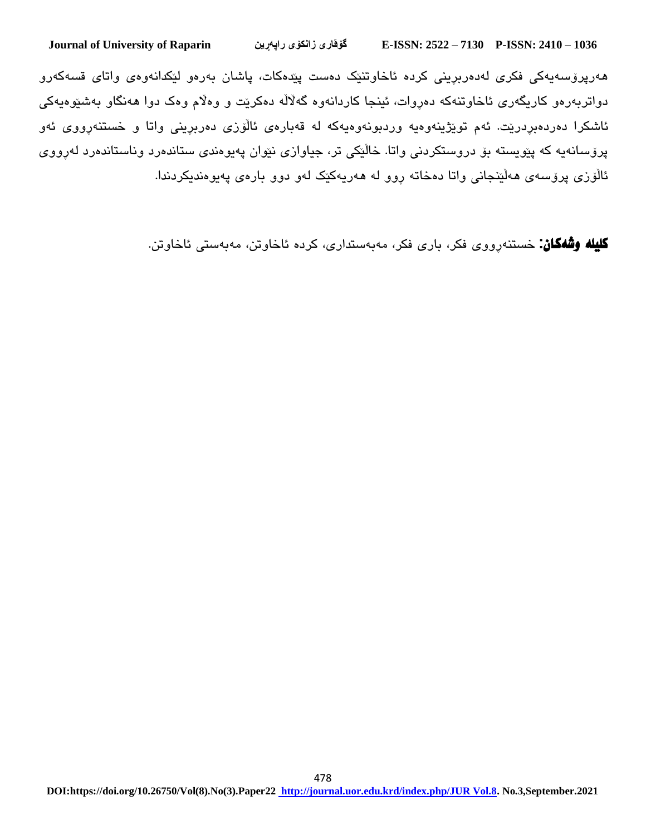هەرپرۆسەیەکی فکری لەدەربڕینی کردە ئاخاوتنێک دەست پێدەکات، پاشان بەرەو لێکدانەوەی واتای قسەکەرو دواتربەرەو کاریگەری ئاخاوتنەکە دەڕوات، ئینجا کاردانەوە گەاڵڵە دەکرێت و وەاڵم وەک دوا هەنگاو بەشێوەیەکی ئاشکرا دەردەبڕدرێت. ئەم توێژینەوەیە وردبونەوەیەکە لە قەبارەی ئاڵۆزی دەربڕینی واتا و خستنەڕووی ئەو پرۆسانەیە کە پێویستە بۆ دروستکردنی واتا. خاڵێکی تر، جیاوازی نێوان پەیوەندی ستاندەرد وناستاندەرد لەڕووی ئاڵۆزی پرۆسەی هەڵێنجانی واتا دەخاتە ڕوو لە هەریەکێک لەو دوو بارەی پەیوەندیکردندا.

کلیلە وشەکان: خستنەڕووی فکر، باری فکر، مەبەستداری، کردە ئاخاوتن، مەبەستی ئاخاوتن.